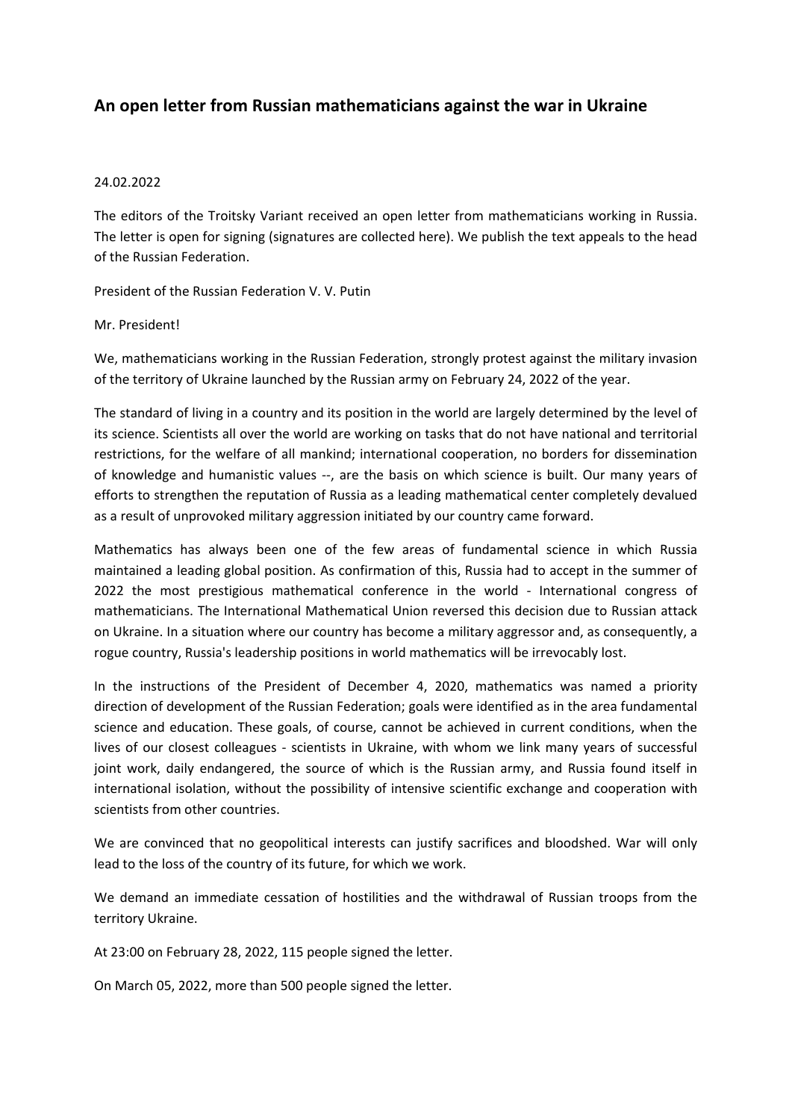## **An open letter from Russian mathematicians against the war in Ukraine**

## 24.02.2022

The editors of the Troitsky Variant received an open letter from mathematicians working in Russia. The letter is open for signing (signatures are collected here). We publish the text appeals to the head of the Russian Federation.

President of the Russian Federation V. V. Putin

## Mr. President!

We, mathematicians working in the Russian Federation, strongly protest against the military invasion of the territory of Ukraine launched by the Russian army on February 24, 2022 of the year.

The standard of living in a country and its position in the world are largely determined by the level of its science. Scientists all over the world are working on tasks that do not have national and territorial restrictions, for the welfare of all mankind; international cooperation, no borders for dissemination of knowledge and humanistic values ‐‐, are the basis on which science is built. Our many years of efforts to strengthen the reputation of Russia as a leading mathematical center completely devalued as a result of unprovoked military aggression initiated by our country came forward.

Mathematics has always been one of the few areas of fundamental science in which Russia maintained a leading global position. As confirmation of this, Russia had to accept in the summer of 2022 the most prestigious mathematical conference in the world - International congress of mathematicians. The International Mathematical Union reversed this decision due to Russian attack on Ukraine. In a situation where our country has become a military aggressor and, as consequently, a rogue country, Russia's leadership positions in world mathematics will be irrevocably lost.

In the instructions of the President of December 4, 2020, mathematics was named a priority direction of development of the Russian Federation; goals were identified as in the area fundamental science and education. These goals, of course, cannot be achieved in current conditions, when the lives of our closest colleagues - scientists in Ukraine, with whom we link many years of successful joint work, daily endangered, the source of which is the Russian army, and Russia found itself in international isolation, without the possibility of intensive scientific exchange and cooperation with scientists from other countries.

We are convinced that no geopolitical interests can justify sacrifices and bloodshed. War will only lead to the loss of the country of its future, for which we work.

We demand an immediate cessation of hostilities and the withdrawal of Russian troops from the territory Ukraine.

At 23:00 on February 28, 2022, 115 people signed the letter.

On March 05, 2022, more than 500 people signed the letter.